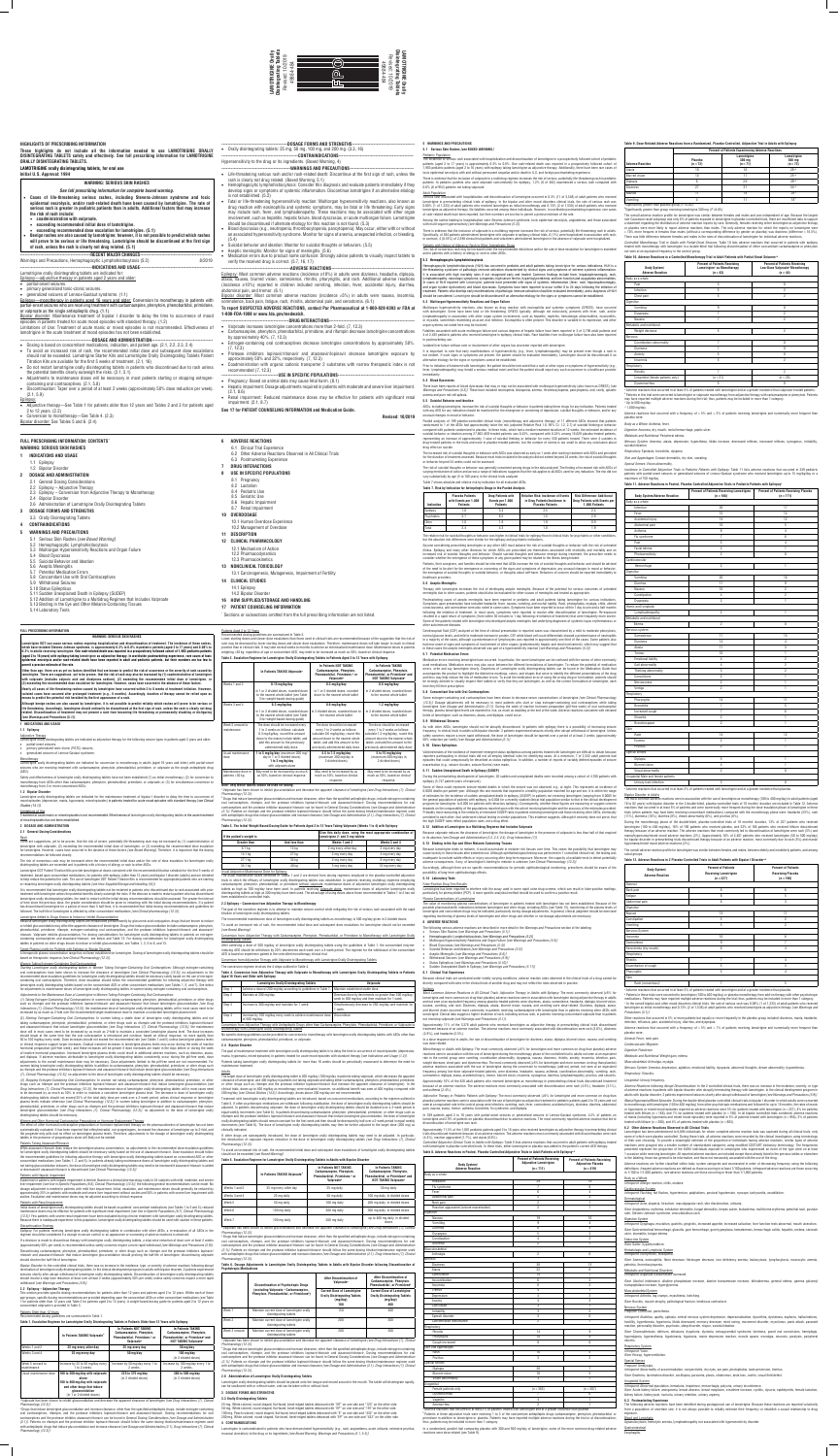

## **HIGHLIGHTS OF PRESCRIBING INFORMATION**

**These highlights do not include all the information needed to use LAMOTRIGINE ORALLY DISINTEGRATING TABLETS safely and effectively. See full prescribing information for LAMOTRIGINE ORALLY DISINTEGRATING TABLETS.**

# **LAMOTRIGINE orally disintegrating tablets, for oral use**

**Initial U.S. Approval: 1994**

# **WARNING: SERIOUS SKIN RASHES**

*See full prescribing information for complete boxed warning.*

- **Cases of life-threatening serious rashes, including Stevens-Johnson syndrome and toxic epidermal necrolysis, and/or rash-related death have been caused by lamotrigine. The rate of serious rash is greater in pediatric patients than in adults. Additional factors that may increase the risk of rash include:**
- • **coadministration with valproate.**
- • **exceeding recommended initial dose of lamotrigine.**
- **exceeding recommended dose escalation for lamotrigine. (5.1) Benign rashes are also caused by lamotrigine; however, it is not possible to predict which rashes**
- **will prove to be serious or life threatening. Lamotrigine should be discontinued at the first sign of rash, unless the rash is clearly not drug related. (5.1)**

- • Dosing is based on concomitant medications, indication, and patient age. (2.1, 2.2, 2.3, 2.4)
- • To avoid an increased risk of rash, the recommended initial dose and subsequent dose escalations should not be exceeded. Lamotrigine Starter Kits and Lamotrigine Orally Disintegrating Tablets Patient Titration Kits are available for the first 5 weeks of treatment. (2.1, 16)
- Do not restart lamotrigine orally disintegrating tablets in patients who discontinued due to rash unless the potential benefits clearly outweigh the risks. (2.1, 5.1)
- Adjustments to maintenance doses will be necessary in most patients starting or stopping estrogencontaining oral contraceptives. (2.1, 5.8)
- • Discontinuation: Taper over a period of at least 2 weeks (approximately 50% dose reduction per week). (2.1, 5.9)
- Epilepsy:
- • Adjunctive therapy—See Table 1 for patients older than 12 years and Tables 2 and 3 for patients aged
- 2 to 12 years. (2.2) Conversion to monotherapy—See Table 4. (2.3)

# **----------------------------------------------RECENT MAJOR CHANGES-----------------------------------------------**

Warnings and Precautions, Hemophagocytic Lymphohistiocytosis (5.2) ---INDICATIONS AND USAGE-

Lamotrigine orally disintegrating tablets are indicated for:

- Epilepsy—adjunctive therapy in patients aged 2 years and older:
- • partial-onset seizures.
- • primary generalized tonic-clonic seizures.
- • generalized seizures of Lennox-Gastaut syndrome. (1.1)

Epilepsy—monotherapy in patients aged 16 years and older: Conversion to monotherapy in patients with partial-onset seizures who are receiving treatment with carbamazepine, phenytoin, phenobarbital, primidone, or valproate as the single antiepileptic drug. (1.1)

Bipolar disorder: Maintenance treatment of bipolar I disorder to delay the time to occurrence of mood episodes in patients treated for acute mood episodes with standard therapy. (1.2)

Limitations of Use: Treatment of acute manic or mixed episodes is not recommended. Effectiveness of lamotrigine in the acute treatment of mood episodes has not been established.

#### ----DOSAGE AND ADMINISTRATION--

- -WARNINGS AND PRECAUTIONS--• Life-threatening serious rash and/or rash-related death: Discontinue at the first sign of rash, unless the
- rash is clearly not drug related. (Boxed Warning, 5.1) Hemophagocytic lymphohistiocytosis: Consider this diagnosis and evaluate patients immediately if they develop signs or symptoms of systemic inflammation. Discontinue lamotrigine if an alternative etiology
- is not established. (5.2) • Fatal or life-threatening hypersensitivity reaction: Multiorgan hypersensitivity reactions, also known as drug reaction with eosinophilia and systemic symptoms, may be fatal or life threatening. Early signs may include rash, fever, and lymphadenopathy. These reactions may be associated with other organ involvement, such as hepatitis, hepatic failure, blood dyscrasias, or acute multiorgan failure. Lamotrigine should be discontinued if alternate etiology for this reaction is not found. (5.3)
- • Blood dyscrasias (e.g., neutropenia, thrombocytopenia, pancytopenia): May occur, either with or without an associated hypersensitivity syndrome. Monitor for signs of anemia, unexpected infection, or bleeding.
- (5.4)
- Suicidal behavior and ideation: Monitor for suicidal thoughts or behaviors. (5.5) • Aseptic meningitis: Monitor for signs of meningitis. (5.6)
- Medication errors due to product name confusion: Strongly advise patients to visually inspect tablets to verify the received drug is correct. (5.7, 16, 17)

---ADVERSE REACTIONS--Epilepsy: Most common adverse reactions (incidence ≥10%) in adults were dizziness, headache, diplopia, ataxia, nausea, blurred vision, somnolence, rhinitis, pharyngitis, and rash. Additional adverse reactions (incidence ≥10%) reported in children included vomiting, infection, fever, accidental injury, diarrhea, abdominal pain, and tremor. (6.1)

Bipolar disorder: See Tables 5 and 6. (2.4)

# **FULL PRESCRIBING INFORMATION: CONTENTS'**

- --DRUG INTERACTIONS-
- • Valproate increases lamotrigine concentrations more than 2-fold. (7, 12.3) • Carbamazepine, phenytoin, phenobarbital, primidone, and rifampin decrease lamotrigine concentrations
- by approximately 40%. (7, 12.3) Estrogen-containing oral contraceptives decrease lamotrigine concentrations by approximately 50%.
- (7, 12.3)
- • Protease inhibitors lopinavir/ritonavir and atazanavir/lopinavir decrease lamotrigine exposure by approximately 50% and 32%, respectively. (7, 12.3) Coadministration with organic cationic transporter 2 substrates with narrow therapeutic index is not
- recommended (7, 12.3) --USE IN SPECIFIC POPULATIONS-
- • Pregnancy: Based on animal data may cause fetal harm. (8.1)
- Hepatic impairment: Dosage adjustments required in patients with moderate and severe liver impairment (2.1, 8.6)
- Renal impairment: Reduced maintenance doses may be effective for patients with significant renal impairment. (2.1, 8.7)
- **See 17 for PATIENT COUNSELING INFORMATION and Medication Guide.**

## Hypersensitivity to the drug or its ingredients. (Boxed Warning, 4)

Lamotrigine ODT can cause serious rashes requiring hospitalization and discontinuation of treatment. The incidence of these rashes,<br>which have included Stevens-Johnson syndrome, is approximately 0.3% to 0.8% in pediatric p 0.3% in adults receiving lamotrigine. One rash-related death was reported in a prospectively followed cohort of 1,983 pediatric patients<br>(aged 2 to 16 years) with epilepsy taking lamotrigine as adjunctive therapy. In world **epidermal necrolysis and/or rash-related death have been reported in adult and pediatric patients, but their numbers are too few to permit a precise estimate of the rate.** 

Bipolar disorder: Most common adverse reactions (incidence >5%) in adults were nausea, insomnia, somnolence, back pain, fatigue, rash, rhinitis, abdominal pain, and xerostomia. (6.1)

Safety and effectiveness of lamotrigine orally disintegrating tablets have not been established (1) as initial monotherapy; (2) for conversion to monotherapy from AEDs other than carbamazepine, phenytoin, phenobarbital, primidone, or valproate; or (3) for simultaneous conversion to monotherapy from 2 or more concomitant AEDs.

## **1.2 Bipolar Disorder**

## **To report SUSPECTED ADVERSE REACTIONS, contact Par Pharmaceutical at 1-800-828-9393 or FDA at 1-800-FDA-1088 or www.fda.gov/medwatch.**

<u>Rash</u><br>There are suggestions, yet to be proven, that the risk of severe, potentially life-threatening rash may be increased by (1) coadministration of lamotrigine with valproate, (2) exceeding the recommended initial dose of lamotrigine, or (3) exceeding the recommended dose escalation for lamotrigine. However, cases have occurred in the absence of these factors *[see Boxed Warning].* Therefore, it is important that the dosing recommendations be followed closely.

 **Revised: 10/2019**

## **WARNING: SERIOUS SKIN RASHES**

- **1 INDICATIONS AND USAGE**
- 1.1 Epilepsy
- 1.2 Bipolar Disorder
- **2 DOSAGE AND ADMINISTRATION**
	- 2.1 General Dosing Considerations
	- 2.2 Epilepsy Adjunctive Therapy 2.3 Epilepsy – Conversion from Adjunctive Therapy to Monotherapy
	- 2.4 Bipolar Disorder
	- 2.6 Administration of Lamotrigine Orally Disintegrating Tablets
- **3 DOSAGE FORMS AND STRENGTHS**

--DOSAGE FORMS AND STRENGTHS--• Orally disintegrating tablets: 25 mg, 50 mg, 100 mg, and 200 mg. (3.3, 16) --CONTRAINDICATIONS-

## 3.3 Orally Disintegrating Tablets **4 CONTRAINDICATIONS**

# **5 WARNINGS AND PRECAUTIONS**

<u>Target Plasma Levels for Patients with Epilepsy or Bipolar Disorder</u><br>A therapeutic plasma concentration range has not been established for lamotrigine. Dosing of lamotrigine orally disintegrating tablets should be based on therapeutic response *[see Clinical Pharmacology (12.3)].*

*Starting Lamotrigine orally disintegrating tablets in Women Taking Estrogen-Containing Oral Contraceptives:* Although estrogen-containing oral contraceptives have been shown to increase the clearance of lamotrigine *[see Clinical Pharmacology (12.3)],* no adjustments to the recommended dose-escalation guidelines for lamotrigine orally disintegrating tablets should be necessary solely based on the use of estrogencontaining oral contraceptives. Therefore, dose escalation should follow the recommended guidelines for initiating adjunctive therapy with<br>Iamotrigine orally disintegrating tablets based on the concomitant AED or other con for adjustments to maintenance doses of lamotrigine orally disintegrating tablets in women taking estrogen-containing oral contracep

- 5.1 Serious Skin Rashes *[see Boxed Warning]*
- 
- 5.2 Hemophagocytic Lymphohistiocytosis
- 5.3 Multiorgan Hypersensitivity Reactions and Organ Failure
- 5.4 Blood Dyscrasias
- 5.5 Suicidal Behavior and Ideation
- 5.6 Aseptic Meningitis
- 5.7 Potential Medication Errors
- 5.8 Concomitant Use with Oral Contraceptives 5.9 Withdrawal Seizures
- 
- 5.10 Status Epilepticus
- 5.11 Sudden Unexplained Death in Epilepsy (SUDEP)
- 5.12 Addition of Lamotrigine to a Multidrug Regimen that Includes Valproate
- 5.13 Binding in the Eye and Other Melanin-Containing Tissues
- 5.14 Laboratory Tests

**6 ADVERSE REACTIONS** 6.1 Clinical Trial Experience

- 6.2 Other Adverse Reactions Observed in All Clinical Trials 6.3 Postmarketing Experience
- **7 DRUG INTERACTIONS**
	- **8 USE IN SPECIFIC POPULATIONS**
- 8.1 Pregnancy
- 8.2 Lactation
- 8.4 Pediatric Use 8.5 Geriatric Use
	- 8.6 Hepatic Impairment
- 8.7 Renal Impairment
- **10 OVERDOSAGE**

*(1) Taking Estrogen-Containing Oral Contraceptives*: In women not taking carbamazepine, phenytoin, phenobarbital, primidone, or other drugs<br>such as rifampin and the protease inhibitors lopinavir/ritonavir and atazanavir/r *Interactions (7), Clinical Pharmacology (12.3)],* the maintenance dose of lamotrigine orally disintegrating tablets will in most cases need to be increased by as much as 2-fold over the recommended target maintenance dose to maintain a consistent lamotrigine plasma level.

| <b>DECODIDTION</b>             |
|--------------------------------|
| 10.2 Management of Overdose    |
| 10.1 Human Overdose Experience |

## **11 DESCRIPTION 12 CLINICAL PHARMACOLOGY**

12.1 Mechanism of Action 12.2 Pharmacodynamics

- 12.3 Pharmacokinetics
- **13 NONCLINICAL TOXICOLOGY**

13.1 Carcinogenesis, Mutagenesis, Impairment of Fertility

**14 CLINICAL STUDIES**

# 14.1 Epilepsy

- 14.2 Bipolar Disorder
- **16 HOW SUPPLIED/STORAGE AND HANDLING**

# **17 PATIENT COUNSELING INFORMATION**

\* Sections or subsections omitted from the full prescribing information are not listed.

## **FULL PRESCRIBING INFORMATION**

### **WARNING: SERIOUS SKIN RASHES**

**Other than age, there are as yet no factors identified that are known to predict the risk of occurrence or the severity of rash caused by lamotrigine. There are suggestions, yet to be proven, that the risk of rash may also be increased by (1) coadministration of lamotrigine**  with valproate (includes valproic acid and divalproex sodium), (2) exceeding the recommended initial dose of lamotrigine, o **(3) exceeding the recommended dose escalation for lamotrigine. However, cases have occurred in the absence of these factors.** 

The effect of other hormonal contraceptive preparations or hormone replacement therapy on the pharmacokinetics of lamotrigine has not been<br>systematically evaluated. It has been reported that ethinylestradiol, not progestog the progestin-only pills had no effect on lamotrigine plasma levels. Therefore, adjustments to the dosage of lamotrigine orally disintegrating tablets in the presence of progestogens alone will likely not be needed.

**Nearly all cases of life-threatening rashes caused by lamotrigine have occurred within 2 to 8 weeks of treatment initiation. However, isolated cases have occurred after prolonged treatment (e.g., 6 months). Accordingly, duration of therapy cannot be relied upon as means to predict the potential risk heralded by the first appearance of a rash.** 

navir does reduce the lamotrigine plasma concentration, no adjustments to the recommended dose-escalation guidelines for lamotrigine orally disintegrating tablets should be necessary solely based on the use of atazanavir/ritonavir. Dose escalation should follow nded guidelines for initiating adjunctive therapy with lamotrigine orally disintegrating tablets based on concomitant AED or other concomitant medications (see Tables 1, 2, and 5). In patients already taking maintenance doses of lamotrigine orally disintegrating tablets and not taking glucuronidation inducers, the dose of lamotrigine orally disintegrating tablets may need to be increased if atazanavir/ritonavir is added or decreased if atazanavir/ritonavir is discontinued *[see Clinical Pharmacology (12.3)].* 

Experience in patients with hepatic impairment is limited. Based on a clinical pharmacology study in 24 subjects with mild, moderate, and severe liver impairment *[see Use in Specific Populations (8.6), Clinical Pharmacology (12.3)],* the following general recommendations can be made. No<br>dosage adjustment is needed in patients with mild liver impairment. Initial, e approximately 25% in patients with moderate and severe liver impairment without ascites and 50% in patients with severe liver impairment with<br>ascites. Escalation and maintenance doses may be adjusted according to clinical

**Although benign rashes are also caused by lamotrigine, it is not possible to predict reliably which rashes will prove to be serious or life threatening. Accordingly, lamotrigine should ordinarily be discontinued at the first sign of rash, unless the rash is clearly not drug**  nuation of treatment may not prevent a rash from becoming life threatening or permanently disabling or disfiguring *[see Warnings and Precautions (5.1)].*

**1 INDICATIONS AND USAGE**

## **1.1 Epilepsy**

Adjunctive Therapy

Lamotrigine orally disintegrating tablets are indicated as adjunctive therapy for the following seizure types in patients aged 2 years and older: • partial-onset seizures.

- primary generalized tonic-clonic (PGTC) seizures.
- generalized seizures of Lennox-Gastaut syndrome.

Monotherapy Lamotrigine orally disintegrating tablets are indicated for conversion to monotherapy in adults (aged 16 years and older) with partial-onset seizures who are receiving treatment with carbamazepine, phenytoin, phenobarbital, primidone, or valproate as the single antiepileptic drug (AED).

Lamotrigine orally disintegrating tablets are indicated for the maintenance treatment of bipolar I disorder to delay the time to occurrence of mood episodes (depression, mania, hypomania, mixed episodes) in patients treated for acute mood episodes with standard therapy *[see Clinical Studies (14.1)].* 

## Limitations of Use

Treatment of acute manic or mixed episodes is not recommended. Effectiveness of lamotrigine orally disintegrating tablets in the acute treatment of mood episodes has not been established.

## **2 DOSAGE AND ADMINISTRATION**

**2.1 General Dosing Considerations** 

The risk of nonserious rash may be increased when the recommended initial dose and/or the rate of dose escalation for lamotrigine orally disintegrating tablets are exceeded and in patients with a history of allergy or rash to other AEDs.

**D** Drugs that induce lamotrigine glucuronidation and increase clearance, other than the specified antiepileptic drugs, include estrogen-containing oral contraceptives, rifampin, and the protease inhibitors lopinavir/ritonavir and atazanavir/ritonavir. Dosing recommendations for oral contraceptives and the protease inhibitor atazanavir/ritonavir can be found in General Dosing Considerations *[see Dosage and Administration (2.1)].* Patients on rifampin and the protease inhibitor lopinavir/ritonavir should follow the same dosing titration/maintenance regimen used with antiepileptic drugs that induce glucuronidation and increase clearance *[see Dosage and Administration (2.1), Drug Interactions (7), Clinical Pharmacology (12.3)].* 

## Patients Aged 2 to 12 Years dosing guidelines are summarized in Table 2.

Lamotrigine ODT Patient Titration Kits provide lamotrigine at doses consistent with the recommended titration schedule for the first 5 weeks of treatment, based upon concomitant medications, for patients with epilepsy (older than 12 years) and bipolar I disorder (adults) and are intended to help reduce the potential for rash. The use of lamotrigine ODT Patient Titration Kits is recommended for appropriate patients who are starting or restarting lamotrigine orally disintegrating tablets *[see How Supplied/Storage and Handling (16)].*

It is recommended that lamotrigine orally disintegrating tablets not be restarted in patients who discontinued due to rash associated with prior treatment with lamotrigine unless the potential benefits clearly outweigh the risks. If the decision is made to restart a patient who has discontinued lamotrigine orally disintegrating tablets, the need to restart with the initial dosing recommendations should be assessed. The greater the interval of time since the previous dose, the greater consideration should be given to restarting with the initial dosing recommendations. If a patient has discontinued lamotrigine for a period of more than 5 half-lives, it is recommended that initial dosing recommendations and guidelines be followed. The half-life of lamotrigine is affected by other concomitant medications *[see Clinical pharmacology (12.3)].*

## Lamotrigine Added to Drugs Known to Induce or Inhibit Glucuronidation

*Pharmacology (12.3)].* **Drugs that induce lamotrigine glucuronidation and increase clearance, other than the specified antiepileptic drugs, include estrogen-conta** oral contraceptives, rifampin, and the protease inhibitors lopinavir/ritonavir and atazanavir/ritonavir. Dosing recommendations for oral contraceptives and the protease inhibitor atazanavir/ritonavir can be found in General Dosing Considerations *[see Dosage and Administration*<br>*(2.1)].* Patients on rifampin and the protease inhibitor lopinavir/ritonavir sh

Because lamotrigine orally disintegrating tablets are metabolized predominantly by glucuronic acid conjugation, drugs that are known to induce or inhibit glucuronidation may affect the apparent clearance of lamotrigine. Drugs that induce glucuronidation include carbamazepine, phenytoin,<br>phenobarbital, primidone, rifampin, estrogen-containing oral contraceptives, ritonavir. Valproate inhibits glucuronidation. For dosing considerations for lamotrigine orally disintegrating tablets in patients on estrogen-<br>containing contraceptives and atazanavir/ritonavir, see below and Table 13. Fo tablets in patients on other drugs known to induce or inhibit glucuronidation, see Tables 1, 2, 5 to 6, and 13.

The usual maintenance doses identified in Tables 1 and 2 are derived from dosing regimens employed in the placebo-controlled adjunctive<br>trials in which the efficacy of lamotrigine orally disintegrating tablets was establis pine, phenytoin, phenobarbital, or primidone <u>without valproate,</u> maintenance doses of adjunctive lamotrigine orally disintegrating tablets as high as 700 mg/day have been used. In patients receiving valproate alone, maintenance doses of adjunctive lamotrigine orally disintegrating tablets as high as 200 mg/day have been used. The advantage of using doses above those recommended in Tables 1 to 4 has not been established in controlled trials.

## Women Taking Estrogen-Containing Oral Contraceptives

Disintegrating Tablets After achieving a dose of 500 mg/day of lamotrigine orally disintegrating tablets using the quidelines in Table 1, the concomitant enzyme-

*Adjustments to the Maintenance Dose of Lamotrigine in Women Taking Estrogen-Containing Oral Contraceptives:*

<u>Adults</u><br>The target dose of lamotrigine orally disintegrating tablet is 200 mg/day (100 mg/day in patients taking valproate, which decreases the apparent clearance of lamotrigine, and 400 mg/day in patients not taking valproate and taking either carbamazepine, phenytoin, phenobarbital, primidone,<br>or other drugs such as rifampin and the protease inhibitor lopinavir/ritonavir clinical trials, doses up to 400 mg/day as monotherapy were evaluated; however, no additional benefit was seen at 400 mg/day compared with 200 mg/day *[see Clinical Studies (14.2)]*. Accordingly, doses above 200 mg/day are not recommended.

(2) *Starting Estrogen-Containing Oral Contraceptives:* In women taking a stable dose of lamotrigine orally disintegrating tablets and not taking carbamazepine, phenytoin, phenobarbital, primidone, or other drugs such as rifampin and the protease inhibitors lopinavir/ritonavir and atazanavir/ritonavir that induce lamotrigine glucuronidation *[see Drug Interactions (7), Clinical Pharmacology (12.3)],* the maintenance dose will in most cases need to be increased by as much as 2-fold to maintain a consistent lamotrigine plasma level. The dose increases

should begin at the same time that the oral contraceptive is introduced and continue, based on clinical response, no more rapidly than 50 to 100 mg/day every week. Dose increases should not exceed the recommended rate (see Tables 1 and 5) unless lamotrigine plasma levels or clinical response support larger increases. Gradual transient increases in lamotrigine plasma levels may occur during the week of inactive hormonal preparation (pill-free week), and these increases will be greater if dose increases are made in the days before or during the week of inactive hormonal preparation. Increased lamotrigine plasma levels could result in additional adverse reactions, such as dizziness, ataxia, and diplopia. If adverse reactions attributable to lamotrigine orally disintegrating tablets consistently occur during the pill-free week, dose adjustments to the overall maintenance dose may be necessary. Dose adjustments limited to the pill-free week are not recommended. For women taking lamotrigine orally disintegrating tablets in addition to carbamazepine, phenytoin, phenobarbital, primidone, or other drugs such as rifampin and the protease inhibitors lopinavir/ritonavir and atazanavir/ritonavir that induce lamotrigine glucuronidation *[see Drug Interactions (7), Clinical Pharmacology (12.3)],* no adjustment to the dose of lamotrigine orally disintegrating tablets should be necessary.

> **D** Drugs that induce lamotrigine glucuronidation and increase clearance, other than the specified antiepileptic drugs, include estrogen-containing oral contraceptives, rifampin, and the protease inhibitors lopinavir/ritonavir and atazanavir/ritonavir. Dosing recommendations for oral contraceptives and the protease inhibitor atazanavir/ritonavir can be found in General Dosing Considerations *[see Dosage and Administration (2.1)]*. Patients on rifampin and the protease inhibitor lopinavir/ritonavir should follow the same dosing titration/ with antiepileptic drugs that induce glucuronidation and increase clearance *[see Dosage and Administration (2.1), Drug Interactions (7), Clinical Pharmacology (12.3)].*

*(3) Stopping Estrogen-Containing Oral Contraceptives*: In women not taking carbamazepine, phenytoin, phenobarbital, primidone, or other drugs such as rifampin and the protease inhibitors lopinavir/ritonavir and atazanavir/ritonavir that induce lamotrigine glucuronidation *[see Drug Interactions (7), Clinical Pharmacology (12.3)],* the maintenance dose of lamotrigine orally disintegrating tablets will in most cases need to be decreased by as much as 50% in order to maintain a consistent lamotrigine plasma level. The decrease in dose of lamotrigine orally disintegrating tablets should not exceed 25% of the total daily dose per week over a 2-week period, unless clinical response or lamotrigine plasma levels indicate otherwise *[see Clinical Pharmacology (12.3)].* In women taking lamotrigine in addition to carbamazepine, phenytoin, phenobarbital, primidone, or other drugs such as rifampin and the protease inhibitors lopinavir/ritonavir and atazanavir/ritonavir that induce lamotrigine glucuronidation *[see Drug Interactions (7), Clinical Pharmacology (12.3)],* no adjustment to the dose of lamotrigine orally disintegrating tablets should be necessary.

## Women and Other Hormonal Contraceptive Preparations or Hormone Replacement Therapy

The incidence of serious rash associated with hospitalization and discontinuation of lamotrigine in a prospectively followed cohort of pediatric<br>patients (aged 2 to 17 years) is approximately 0.3% to 0.8%. One rash-related 1,983 pediatric patients (aged 2 to 16 years) with epilepsy taking lamotrigine as adjunctive therapy. Additionally, there have been rare cases of toxic epidermal necrolysis with and without permanent sequelae and/or death in U.S. and foreign postmarketing experience.

### Patients Taking Atazanavir/Ritonavir

erious rash associated with hospitalization and discontinuation of lamotrigine occurred in 0.3% (11 of 3,348) of adult patients who received lamotrigine in premarketing clinical trials of epilepsy. In the bipolar and other mood disorders clinical trials, the rate of serious rash was 0.08% (1 of 1,233) of adult patients who received lamotrigine as initial monotherapy and 0.13% (2 of 1,538) of adult patients who received<br>Iamotrigine as adjunctive therapy. No fatalities occurred among these individuals. of rash-related death have been reported, but their numbers are too few to permit a precise estimate of the rate.

There is evidence that the inclusion of valproate in a multidrug regimen increases the risk of serious, potentially life-threatening rash in adults. Specifically, of 584 patients administered lamotrigine with valproate in epilepsy clinical trials, 6 (1%) were hospitalized in association with rash;<br>in contrast, 4 (0.16%) of 2,398 clinical trial patients and volunteers a

## Patients with Hepatic Impairment

#### Patients with Renal Impairment

Initial doses of lamotrigine orally disintegrating tablets should be based on patients' concomitant medications (see Tables 1 to 3 and 5); reduced maintenance doses may be effective for patients with significant renal impairment *[see Use in Specific Populations (8.7), Clinical Pharmacology*<br>*(12.3)].* Few patients with severe renal impairment have been evaluated dur Because there is inadequate experience in this population, lamotrigine orally disintegrating tablets should be used with caution in these patients.

## Discontinuation Strategy

Prior to initiation of treatment with lamotrigine, the patient should be instructed that a rash or other signs or symptoms of hypersensitivity (e.g.,<br>fever, lymphadenopathy) may herald a serious medical event and that the immediately.

*Epilepsy*: For patients receiving lamotrigine orally disintegrating tablets in combination with other AEDs, a re-evaluation of all AEDs in the regimen should be considered if a change in seizure control or an appearance or worsening of adverse reactions is observed.

AEDs, including lamotrigine, increase the risk of suicidal thoughts or behavior in patients taking these drugs for any indication. Patients treated with any AED for any indication should be monitored for the emergence or worsening of depression, suicidal thoughts or behavior, and/or any unusual changes in mood or behavior. Pooled analyses of 199 placebo-controlled clinical trials (monotherapy and adjunctive therapy) of 11 different AEDs showed that patients<br>randomized to 1 of the AEDs had approximately twice the risk (adjusted Relative Risk

If a decision is made to discontinue therapy with lamotrigine orally disintegrating tablets, a step-wise reduction of dose over at least 2 weeks (approximately 50% per week) is recommended unless safety concerns require a more rapid withdrawal *[see Warnings and Precautions (5.9)].*

Discontinuing carbamazepine, phenytoin, phenobarbital, primidone, or other drugs such as rifampin and the protease inhibitors lopinavir/ ritonavir and atazanavir/ritonavir that induce lamotrigine glucuronidation should prolong the half-life of lamotrigine; discontinuing valproate should shorten the half-life of lamotrigine.

compared with patients randomized to placebo. In these trials, which had a median treatment duration of 12 weeks, the estimated incidence of<br>suicidal behavior or ideation among 27,863 AED-treated patients was 0.43%, compar representing an increase of approximately 1 case of suicidal thinking or behavior for every 530 patients treated. There were 4 suicides in drug-treated patients in the trials and none in placebo-treated patients, but the number of events is too small to allow any conclusion about drug effect on suicide.

*Bipolar Disorder:* In the controlled clinical trials, there was no increase in the incidence, type, or severity of adverse reactions following abrupt termination of lamotrigine orally disintegrating tablets. In the clinical development program in adults with bipolar disorder, 2 patients experienced<br>seizures shortly after abrupt withdrawal of lamotrigine orally disintegr should involve a step-wise reduction of dose over at least 2 weeks (approximately 50% per week) unless safety concerns require a more rapid withdrawal *[see Warnings and Precautions (5.9)].*

**Drug Patients with Events p 1,000 Patients**

#### **2.2 Epilepsy – Adjunctive Therapy**

This section provides specific dosing recommendations for patients older than 12 years and patients aged 2 to 12 years. Within each of these age-groups, specific dosing recommendations are provided depending upon the concomitant AEDs or other concomitant medications (see Table 1 for patients older than 12 years and Table 2 for patients aged 2 to 12 years). A weight-based dosing guide for patients aged 2 to 12 years on concomitant valproate is provided in Table 3.

## Patients Older than 12 Years

Recommended dosing guidelines are summarized in Table 1.

Postmarketing cases of aseptic meningitis have been reported in pediatric and adult patients taking lamotrigine for various indications Symptoms upon presentation have included headache, fever, nausea, vomiting, and nuchal rigidity. Rash, photophobia, myalgia, chills, altered<br>consciousness, and somnolence were also noted in some cases. Symptoms have been r following the initiation of treatment. In most cases, symptoms were reported to resolve after discontinuation of lamotrigine. Re-exposure<br>resulted in a rapid return of symptoms (from within 30 minutes to 1 day following re Some of the patients treated with lamotrigine who developed aseptic meningitis had underlying diagnoses of systemic lupus erythematosus or other autoimmune diseases.

|                                 | In Patients TAKING Valproate <sup>a</sup>                                                                                                                    | <b>In Patients NOT TAKING</b><br>Carbamazepine, Phenytoin,<br>Phenobarbital, Primidone. <sup>b</sup> or<br>Valproate <sup>a</sup> | <b>In Patients TAKING</b><br>Carbamazepine, Phenytoin.<br>Phenobarbital, or Primidone <sup>b</sup> and<br><b>NOT TAKING Valproate<sup>®</sup></b> |
|---------------------------------|--------------------------------------------------------------------------------------------------------------------------------------------------------------|-----------------------------------------------------------------------------------------------------------------------------------|---------------------------------------------------------------------------------------------------------------------------------------------------|
| Weeks 1 and 2                   | 25 mg every <i>other</i> day                                                                                                                                 | 25 mg every day                                                                                                                   | $50$ mg/day                                                                                                                                       |
| Weeks 3 and 4                   | 25 mg every day                                                                                                                                              | $50$ mg/day                                                                                                                       | $100$ mg/day<br>(in 2 divided doses)                                                                                                              |
| Week 5 onward to<br>maintenance | Increase by 25 to 50 mg/day every<br>1 to 2 weeks.                                                                                                           | Increase by 50 mg/day every 1 to<br>2 weeks.                                                                                      | Increase by 100 mg/day every 1 to<br>2 weeks.                                                                                                     |
| Usual maintenance dose          | 100 to 200 mg/day with valproate<br>alone<br>100 to 400 mg/day with valproate<br>and other drugs that induce<br>glucuronidation<br>(in 1 or 2 divided doses) | 225 to 375 mg/day<br>(in 2 divided doses)                                                                                         | 300 to 500 mg/day<br>(in 2 divided doses)                                                                                                         |

a Valproate has been shown to inhibit glucuronidation and decrease the apparent clearance of lamotrigine *[see Drug Interactions (7), Clinical Pharmacology (12.3)].*

As with other AEDs, lamotrigine should not be abruptly discontinued. In patients with epilepsy there is a possibility of increasing seizure frequency. In clinical trials in adults with bipolar disorder, 2 patients experienced seizures shortly after abrupt withdrawal of lamotrigine. Unless<br>safety concerns require a more rapid withdrawal, the dose of lamotrigine 50% reduction per week) *[see Dosage and Administration (2.1)]*.

Valid estimates of the incidence of treatment-emergent status epilepticus among patients treated with lamotrigine are difficult to obtain because<br>reporters participating in clinical trials did not all employ identical rule episodes that could unequivocally be described as status epilepticus. In addition, a number of reports of variably defined episodes of seizure

Lower starting doses and slower dose escalations than those used in clinical trials are recommended because of the suggestion that the risk of rash may be decreased by lower starting doses and slower dose escalations. Therefore, maintenance doses will take longer to reach in clinical<br>practice than in clinical trials. It may take several weeks to months to achieve weighing <30 kg, regardless of age or concomitant AED, may need to be increased as much as 50%, based on clinical response. **Table 2. Escalation Regimen for Lamotrigine Orally Disintegrating Tablets in Patients Aged 2 to 12 Years with Epilepsy**

> Because lamotrigine binds to melanin, it could accumulate in melanin-rich tissues over time. This raises the possibility that lamotrigine may cause toxicity in these tissues after extended use. Although ophthalmological testing was performed in 1 controlled clinical trial, the testing was<br>inadequate to exclude subtle effects or injury occurring after long-term e

|                                        | In Patients TAKING Valproate <sup>®</sup>                                                                                                                                                                              | <b>In Patients NOT TAKING</b><br>Carbamazepine, Phenytoin,<br>Phenobarbital, Primidone, <sup>b</sup> or<br>Valproate <sup>a</sup>                                                                                      | <b>In Patients TAKING</b><br>Carbamazepine, Phenytoin,<br>Phenobarbital, or Primidone <sup>b</sup> and<br><b>NOT TAKING Valproate<sup>a</sup></b>                                                                      |
|----------------------------------------|------------------------------------------------------------------------------------------------------------------------------------------------------------------------------------------------------------------------|------------------------------------------------------------------------------------------------------------------------------------------------------------------------------------------------------------------------|------------------------------------------------------------------------------------------------------------------------------------------------------------------------------------------------------------------------|
| Weeks 1 and 2                          | $0.15$ mg/kg/day                                                                                                                                                                                                       | $0.3$ mg/kg/day                                                                                                                                                                                                        | 0.6 mg/kg/day                                                                                                                                                                                                          |
|                                        | in 1 or 2 divided doses, rounded down<br>to the nearest whole tablet (see Table<br>3 for weight-based dosing quide)                                                                                                    | in 1 or 2 divided doses, rounded<br>down to the nearest whole tablet                                                                                                                                                   | in 2 divided doses, rounded down<br>to the nearest whole tablet                                                                                                                                                        |
| Weeks 3 and 4                          | $0.3$ mg/kg/day                                                                                                                                                                                                        | 0.6 mg/kg/day                                                                                                                                                                                                          | 1.2 mg/kg/day                                                                                                                                                                                                          |
|                                        | in 1 or 2 divided doses, rounded down<br>to the nearest whole tablet (see Table<br>3 for weight-based dosing quide)                                                                                                    | in 2 divided doses, rounded down to<br>the nearest whole tablet                                                                                                                                                        | in 2 divided doses, rounded down<br>to the nearest whole tablet                                                                                                                                                        |
| Week 5 onward to<br>maintenance        | The dose should be increased every<br>1 to 2 weeks as follows: calculate<br>0.3 mg/kg/day, round this amount<br>down to the nearest whole tablet, and<br>add this amount to the previously<br>administered daily dose. | The dose should be increased<br>every 1 to 2 weeks as follows:<br>calculate 0.6 mg/kg/day, round this<br>amount down to the nearest whole<br>tablet, and add this amount to the<br>previously administered daily dose. | The dose should be increased<br>every 1 to 2 weeks as follows:<br>calculate 1.2 mg/kg/day, round this<br>amount down to the nearest whole<br>tablet, and add this amount to the<br>previously administered daily dose. |
| Usual maintenance<br>dose              | 1 to 5 mg/kg/day (maximum 200 mg/<br>day in 1 or 2 divided doses)<br>1 to 3 mg/kg/day<br>with valproate alone                                                                                                          | 4.5 to 7.5 mg/kg/day<br>(maximum 300 mg/day in<br>2 divided doses)                                                                                                                                                     | 5 to 15 mg/kg/day<br>(maximum 400 mg/day in<br>2 divided doses)                                                                                                                                                        |
| Maintenance dose in<br>patients <30 kg | May need to be increased by as much<br>as 50%, based on clinical response.                                                                                                                                             | May need to be increased by as<br>much as 50%, based on clinical<br>response.                                                                                                                                          | May need to be increased by as<br>much as 50%, based on clinical<br>response.                                                                                                                                          |

Epilepsy *Most Common Adverse Reactions in All Clinical Trials*: *Adjunctive Therapy in Adults with Epilepsy:* The most commonly observed (≥5% for lamotrigine and more common on drug than placebo) adverse reactions seen in association with lamotrigine during adjunctive therapy in adults and not seen at an equivalent frequency among placebo-treated patients were: dizziness, ataxia, somnolence, headache, diplopia, blurred vision,<br>nausea, vomiting, and rash. Dizziness, diplopia, ataxia, blurred vision, nause and blurred vision occurred more commonly in patients receiving carbamazepine with lamotrigine than in patients receiving other AEDs with lamotrigine. Clinical data suggest a higher incidence of rash, including serious rash, in patients receiving concomitant valproate than in patients

**Note: Only whole tablets should be used for dosing.**  a Valproate has been shown to inhibit glucuronidation and decrease the apparent clearance of lamotrigine *[see Drug Interactions (7), Clinical* 

with antiepileptic drugs that induce glucuronidation and increase clearance *[see Dosage and Administration (2.1), Drug Interactions (7), Clinical Pharmacology (12.3)].* **Table 3. The Initial Weight-Based Dosing Guide for Patients Aged 2 to 12 Years Taking Valproate (Weeks 1 to 4) with Epilepsy**

| If the patient's weight is                    |               |                             | Give this daily dose, using the most appropriate combination of<br>lamotrigine 2- and 5-mg tablets |  |  |
|-----------------------------------------------|---------------|-----------------------------|----------------------------------------------------------------------------------------------------|--|--|
| <b>Greater than</b>                           | And less than | Weeks 1 and 2               | Weeks 3 and 4                                                                                      |  |  |
| 6.7 kg                                        | 14 ka         | 2 mg every <i>other</i> day | 2 mg every day                                                                                     |  |  |
| 14.1 kg                                       | 27 kg         | 2 mg every day              | 4 mg every day                                                                                     |  |  |
| 27.1 kg                                       | 34 ka         | 4 mg every day              | 8 mg every day                                                                                     |  |  |
| 34.1 kg                                       | 40 kg         | 5 mg every day              | 10 mg every day                                                                                    |  |  |
| せいしょうしき スピー・スパー こうきょうえい オール・エー ロー・エー じょうけいしょう |               |                             |                                                                                                    |  |  |

## Usual Adjunctive Maintenance Dose for Epileps

## **2.3 Epilepsy – Conversion from Adjunctive Therapy to Monotherapy**

The goal of the transition regimen is to attempt to maintain seizure control while mitigating the risk of serious rash associated with the rapid titration of lamotrigine orally disintegrating tablets.

The recommended maintenance dose of lamotrigine orally disintegrating tablets as monotherapy is 500 mg/day given in 2 divided doses.

ªAdverse reactions that occurred in at least 2% of patients treated with lamotrigine and at a greater incidence than placebo.<br>ª Patients in these adjunctive trials were receiving 1 to 3 of the concomitant antiepileptic dru primidone in addition to lamotrigine or placebo. Patients may have reported multiple adverse reactions during the trial or at discontinuation; thus, patients may be included in more than 1 category.

To avoid an increased risk of rash, the recommended initial dose and subsequent dose escalations for lamotrigine should not be exceeded

## *[see Boxed Warning].* Conversion from Adjunctive Therapy with Carbamazepine, Phenytoin, Phenobarbital, or Primidone to Monotherapy with Lamotrigine Orally

**Lamotrig 300 mg (n = 71)**

Ataxia 10 10 28a,b Blurred vision 10 11 25a,b Diplopia 8 24a 49a,b Dizziness and  $\begin{vmatrix} 27 & 27 \end{vmatrix}$  31  $\begin{vmatrix} 31 & 31 \end{vmatrix}$  54<sup>a,b</sup> Nausea 11 18 25a Vomiting 18<sup>a</sup> 19<sup>a</sup> 19<sup>a</sup> 19<sup>a</sup> 11 12 18<sup>a</sup>

The overall adverse reaction profile for lamotrigine was similar between females and males and was independent of age. Because the largest non-Caucasian racial subgroup was only 6% of patients exposed to lamotrigine in placebo-controlled trials, there are insufficient data to support<br>a statement regarding the distribution of adverse reaction reports by race. or placebo were more likely to report adverse reactions than males. The only adverse reaction for which the reports on lamotrigine were > 10% more frequent in females than males (without a corresponding difference by gender on placebo) was dizziness (difference = 16.5%). There was little difference between females and males in the rates of discontinuation of lamotrigine for individual adverse reactions. *Controlled Monotherapy Trial in Adults with Partial-Onset Seizures:* Table 10 lists adverse reactions that occurred in patients with epilepsy treated with monotherapy with lamotrigine in a double-blind trial following discontinuation of either concomitant carbamazepine or phenytoir

inducing AED should be withdrawn by 20% decrements each week over a 4-week period. The regimen for the withdrawal of the concomitant AED is based on experience gained in the controlled monotherapy clinical trial.

Conversion from Adjunctive Therapy with Valproate to Monotherapy with Lamotrigine Orally Disintegrating Tablets The conversion regimen involves the 4 steps outlined in Table 4.

# **Table 4. Conversion from Adjunctive Therapy with Valproate to Monotherapy with Lamotrigine Orally Disintegrating Tablets in Patients**

**Percent of Patients Receivir** Lamotrigine<sup>c</sup> as Monotherapy **(n = 43)**

Pain Contract Contract in the contract of the contract of the contract of the contract of the contract of the c Infection 5 2 Chest pain **1** 2

|    |        | Aged 16 Years and Older with Epilepsy                            |                                                                                                             |
|----|--------|------------------------------------------------------------------|-------------------------------------------------------------------------------------------------------------|
| h. |        | <b>Lamotrigine Orally Disintegrating Tablets</b>                 | Valproate                                                                                                   |
|    | Step 1 | Achieve a dose of 200 mg/day according to guidelines in Table 1. | Maintain established stable dose.                                                                           |
|    | Step 2 | Maintain at 200 mg/day.                                          | Decrease dose by decrements no greater than 500 mg/day/<br>week to 500 mg/day and then maintain for 1 week. |
|    |        |                                                                  |                                                                                                             |

Dizziness and the contract of the contract of the contract of the contract of the contract of the contract of the contract of the contract of the contract of the contract of the contract of the contract of the contract of Anxiety 5 0 Insomnia 5 2

| Step 2 | Maintain at 200 mg/day.                                                                                                                                                                                   | Decrease dose by decrements no greater than 500 mg/day/<br>week to 500 mg/day and then maintain for 1 week. |
|--------|-----------------------------------------------------------------------------------------------------------------------------------------------------------------------------------------------------------|-------------------------------------------------------------------------------------------------------------|
| Step 3 | Increase to 300 mg/day and maintain for 1 week.                                                                                                                                                           | Simultaneously decrease to 250 mg/day and maintain for<br>1 week.                                           |
| Step 4 | Increase by 100 mg/day every week to achieve maintenance dose<br>of 500 mg/day.                                                                                                                           | Discontinue.                                                                                                |
|        | Conversion from Adjunctive Therapy with Antiepileptic Drugs other than Carbamazepine, Phenytoin, Phenobarbital, Primidone, or Valproate to<br>Manetherson; with Lametriaine Orally Diointegrating Tablets |                                                                                                             |

c Up to 500 mg/day.  $d$  1,000 mg/day

Monotherapy with Lamotrigine Orally Disintegrating Tablets

No specific dosing guidelines can be provided for conversion to monotherapy with lamotrigine orally disintegrating tablets with AEDs other than carbamazepine, phenytoin, phenobarbital, primidone, or valproate.

#### **2.4 Bipolar Disorder**

**Percent of Patients Receiving Lamotrigin (n = 168)**

The goal of maintenance treatment with lamotrigine orally disintegrating tablet is to delay the time to occurrence of mood episodes (depression, mania, hypomania, mixed episodes) in patients treated for acute mood episodes with standard therapy *[see Indications and Usage (1.2)].* 

Patients taking lamotrigine orally disintegrating tablets for more than 16 weeks should be periodically reassessed to determine the need for maintenance treatment.

Somnolence 15 15 Dizziness and the contract of the contract of the contract of the contract of the contract of the contract of the contract of the contract of the contract of the contract of the contract of the contract of the contract of Ataxia 11 3 Tremor 10 1

Rash 14 12 Eczema terminal and the contract of the contract of the contract of the contract of the contract of the contract of the contract of the contract of the contract of the contract of the contract of the contract of the contra Pruritus the contract of the contract of the contract of the contract of the contract of the contract of the contract of the contract of the contract of the contract of the contract of the contract of the contract of the c

The most common adverse reactions seen in association with the use of lamotrigine as monotherapy (100 to 400 mg/day) in adult patients (aged 18 to 82 years) with bipolar disorder in the 2 double-blind, placebo-controlled trials of 18 months' duration are included in Table 12. Adverse<br>reactions that occurred in at least 5% of patients and were numerically more f trials (when patients may have been receiving concomitant medications) compared with the monotherapy phase were: headache (25%), rash

Back pain 8 6 Fatigue 8 5 Abdominal pain **6** 3

Treatment with lamotrigine orally disintegrating tablets are introduced, based on concurrent medications, according to the regimen outlined in Table 5. If other psychotropic medications are withdrawn following stabilization, the dose of lamotrigine orally disintegrating tablets should be adjusted. In patients discontinuing valproate, the dose of lamotrigine orally disintegrating tablets should be doubled over a 2-week period in equal weekly increments (see Table 6). In patients discontinuing carbamazepine, phenytoin, phenobarbital, primidone, or other drugs such as rifampin and the protease inhibitors lopinavir/ritonavir and atazanavir/ritonavir that induce lamotrigine glucuronidation, the dose of lamotrigine orally disintegrating tablets should remain constant for the first week and then should be decreased by half over a 2-week period in equal weekly decrements (see Table 6). The dose of lamotrigine orally disintegrating tablets may then be further adjusted to the target dose (200 mg) as clinically indicated.

ʰ Patients in these trials were converted to lamotrigine (100 to 400 mg/day) or placebo monotherapy from add-on therapy with other psychotropic<br>medications. Patients may have reported multiple adverse reactions during the c In the overall bipolar and other mood disorders clinical trials, the rate of serious rash was 0.08% (1 of 1,233) of adult patients who received lamotrigine as initial monotherapy and 0.13% (2 of 1,538) of adult patients who received lamotrigine as adjunctive therapy *[see Warnings and* 

Other reactions that occurred in 5% or more patients but equally or more frequently in the placebo group included: dizziness, mania, headache

Adverse reactions that occurred with a frequency of  $< 5\%$  and  $> 1\%$  of patients receiving lamotrigine and numerically more frequent than

If other drugs are subsequently introduced, the dose of lamotrigine orally disintegrating tablets may need to be adjusted. In particular, the introduction of valproate requires reduction in the dose of lamotrigine orally disintegrating tablets *[see Drug Interactions (7), Clinical Pharmacology (12.3)].*

To avoid an increased risk of rash, the recommended initial dose and subsequent dose escalations of lamotrigine orally disintegrating tablets should not be exceeded *[see Boxed Warning].*

*Mania/Hypomania/Mixed Episodes:* During the double-blind placebo-controlled clinical trials in bipolar I disorder in which adults were converted to monotherapy with lamotrigine (100 to 400 mg/day) from other psychotropic medications and followed for up to 18 months, the rates of manic or hypomanic or mixed mood episodes reported as adverse reactions were 5% for patients treated with lamotrigine (n = 227), 4% for patients treated with lithium (n = 166), and 7% for patients treated with placebo (n = 190). In all bipolar controlled trials combined, adverse reactions of mania (including hypomania and mixed mood episodes) were reported in 5% of patients treated with lamotrigine (n = 956), 3% of patients treated with lithium ( $n = 280$ ), and  $4\%$  of patients treated with placebo ( $n = 803$ ).

## **Table 5. Escalation Regimen for Lamotrigine Orally Disintegrating Tablets in Adults with Bipolar Disorder**

|               | In Patients TAKING Valproate <sup>a</sup> | <b>In Patients NOT TAKING</b><br>Carbamazepine, Phenytoin,<br>Phenobarbital, Primidone. <sup>b</sup> or<br>Valproate <sup>a</sup> | <b>In Patients TAKING</b><br>Carbamazepine, Phenytoin.<br>Phenobarbital, or Primidone <sup>b</sup> and<br><b>NOT TAKING Valproate<sup>a</sup></b> |
|---------------|-------------------------------------------|-----------------------------------------------------------------------------------------------------------------------------------|---------------------------------------------------------------------------------------------------------------------------------------------------|
| Weeks 1 and 2 | 25 mg every <i>other</i> day              | 25 mg daily                                                                                                                       | 50 mg daily                                                                                                                                       |
| Weeks 3 and 4 | 25 mg daily                               | 50 mg daily                                                                                                                       | 100 mg daily, in divided doses                                                                                                                    |
| Week 5        | 50 mg daily                               | 100 mg daily                                                                                                                      | 200 mg daily, in divided doses                                                                                                                    |
| Week 6        | 100 mg daily                              | 200 mg daily                                                                                                                      | 300 mg daily, in divided doses                                                                                                                    |
| Week 7        | 100 mg daily                              | 200 mg daily                                                                                                                      | up to 400 mg daily, in divided<br>doses                                                                                                           |

a Valproate has been shown to inhibit glucuronidation and decrease the apparent clearance of lamotrigine *[see Drug Interactions (7), Clinical Pharmacology (12.3)]*.

> Endocrine System *Rare***:** Goiter, hypothyroidism.

## **Table 6. Dosage Adjustments to Lamotrigine Orally Disintegrating Tablets in Adults with Bipolar Disorder following Discontinuation of Psychotropic Medications**

|               | <b>Discontinuation of Psychotropic Drugs</b>                                                               | <b>After Discontinuation of</b><br><b>Valproate</b> <sup>a</sup>                              | <b>After Discontinuation of</b><br>Carbamazepine, Phenytoin,<br>Phenobarbital, or Primidone <sup>b</sup> |
|---------------|------------------------------------------------------------------------------------------------------------|-----------------------------------------------------------------------------------------------|----------------------------------------------------------------------------------------------------------|
|               | (excluding Valproate, <sup>a</sup> Carbamazepine,<br>Phenvtoin. Phenobarbital. or Primidone <sup>b</sup> ) | <b>Current Dose of Lamotrigine</b><br><b>Orally Disintegrating Tablets</b><br>(mq/day)<br>100 | <b>Current Dose of Lamotrigine</b><br><b>Orally Disintegrating Tablets</b><br>(mq/day)<br>400            |
| Week 1        | Maintain current dose of lamotrigine orally<br>disintegrating tablets                                      | 150                                                                                           | 400                                                                                                      |
| Week 2        | Maintain current dose of lamotrigine orally<br>disintegrating tablets                                      | 200                                                                                           | 300                                                                                                      |
| Week 3 onward | Maintain current dose of lamotrigine orally<br>disintegrating tablets                                      | 200                                                                                           | 200                                                                                                      |

*Infrequent*: Yawn. *Rare*: Hiccup, hyperventilation

*Frequent*: Amblyopi *Infrequent*: Abnormality of accommodation, conjunctivitis, dry eyes, ear pain, photophobia, taste perversion, tinnitus.

a Valproate has been shown to inhibit glucuronidation and decrease the apparent clearance of lamotrigine *[see Drug Interactions* (7), *Clinical Pharmacology (12.3)].*

> **Gastrointestina** Esophagitis.

<sup>b</sup>Drugs that induce lamotrigine glucuronidation and increase clearance, other than the specified antiepileptic drugs, include estrogen-containing oral contraceptives, rifampin, and the protease inhibitors lopinavir/ritonavir and atazanavir/ritonavir. Dosing recommendations for oral<br>contraceptives and the protease inhibitor atazanavir/ritonavir can be found in Genera *(2.1)]*. Patients on rifampin and the protease inhibitor lopinavir/ritonavir should follow the same dosing titration/maintenance regimen used with antiepileptic drugs that induce glucuronidation and increase clearance *[see Dosage and Administration (2.1), Drug Interactions (7), Clinical Pharmacology (12.3)].*

### **2.6 Administration of Lamotrigine Orally Disintegrating Tablets**

Lamotrigine orally disintegrating tablets should be placed onto the tongue and moved around in the mouth. The tablet will disintegrate rapidly,<br>can be swallowed with or without water, and can be taken with or without food.

## **3 DOSAGE FORMS AND STRENGTHS 3.3 Orally Disintegrating Tablets**

25-mg, White colored, round shaped, flat-faced, bevel-edged tablets debossed with "NT" on one side and "123" on the other side. 50-mg, White colored, round shaped, flat-faced, bevel-edged tablets debossed with "EP" on one side and "191"on the other side. 100-mg, Peach colored, round shaped, flat-faced, bevel-edged tablets debossed with "E" on one side and "432" on the other side. 200-mg, White colored, round shaped, flat-faced, bevel-edged tablets debossed with "EP" on one side and "433" on the other side.

### **4 CONTRAINDICATIONS**

Lamotrigine is contraindicated in patients who have demonstrated hypersensitivity (e.g., rash, angioedema, acute urticaria, extensive pruritus, mucosal ulceration) to the drug or its ingredients *[see Boxed Warning, Warnings and Precautions (5.1, 5.3)].*

**5 WARNINGS AND PRECAUTIONS**

## Pediatric Populatio

## **5.1 Serious Skin Rashes** *[see* **BOXED WARNING***]*

There is evidence that the inclusion of valproate in a multidrug regimen increases the risk of serious, potentially life-threatening rash in pediatric patients. In pediatric patients who used valproate concomitantly for epilepsy, 1.2% (6 of 482) experienced a serious rash compared with 0.6% (6 of 952) patients not taking valproate.

## Adult Population

Among the rashes leading to hospitalization were Stevens-Johnson syndrome, toxic epidermal necrolysis, angioedema, and those associated with multi-organ hypersensitivity *[see Warnings and Precautions (5.3)].* 

Patients with History of Allergy or Rash to Other Antiepileptic Drugs

The risk of nonserious rash may be increased when the recommended initial dose and/or the rate of dose escalation for lamotrigine is exceeded and in patients with a history of allergy or rash to other AEDs.

## **5.2 Hemophagocytic Lymphohistiocytosis**

Hemophagocytic lymphohistiocytosis (HLH) has occurred in pediatric and adult patients taking lamotrigine for various indications. HLH is a ling syndrome of pathologic immune activation characterized by clinical signs and symptoms of extreme systemic inflammation. It is associated with high mortality rates if not recognized early and treated. Common findings include fever, hepatosplenomegaly, rash, nphadenopathy, neurologic symptoms, cytopenias, high serum ferritin, hypertriglyceridemia, and liver function and coagulation abnormalities. In cases of HLH reported with lamotrigine, patients have presented with signs of systemic inflammation (fever, rash, hepatosplen and organ system dysfunction) and blood dyscrasias. Symptoms have been reported to occur within 8 to 24 days following the initiation of<br>treatment. Patients who develop early manifestations of pathologic immune activation should be considered. Lamotrigine should be discontinued if an alternative etiology for the signs or symptoms cannot be established.

### **5.3 Multiorgan Hypersensitivity Reactions and Organ Failure**

Multiorgan hypersensitivity reactions, also known as drug reaction with eosinophilia and systemic symptoms (DRESS), have occurred with lamotrigine. Some have been fatal or life threatening. DRESS typically, although not exclusively, presents with fever, rash, and/or lymphadenopathy in association with other organ system involvement, such as hepatitis, nephritis, hematologic abnormalities, myocarditis, or myositis, sometimes resembling an acute viral infection. Eosinophilia is often present. This disorder is variable in its expression, and other organ systems not noted here may be involved.

Fatalities associated with acute multiorgan failure and various degrees of hepatic failure have been reported in 2 of 3,796 adult patients and 4 of 2,435 pediatric patients who received lamotrigine in epilepsy clinical trials. Rare fatalities from multiorgan failure have also been reported in postmarketing use.

Isolated liver failure without rash or involvement of other organs has also been reported with lamotrigin

It is important to note that early manifestations of hypersensitivity (e.g., fever, lymphadenopathy) may be present even though a rash is not evident. If such signs or symptoms are present, the patient should be evaluated immediately. Lamotrigine should be discontinued if an alternative etiology for the signs or symptoms cannot be established.

## **5.4 Blood Dyscrasias**

There have been reports of blood dyscrasias that may or may not be associated with multiorgan hypersensitivity (also known as DRESS) *[see Warnings and Precautions (5.3)]*. These have included neutropenia, leukopenia, anemia, thrombocytopenia, pancytopenia, and, rarely, aplastic anemia and pure red cell aplasia.

## **5.5 Suicidal Behavior and Ideation**

The increased risk of suicidal thoughts or behavior with AEDs was observed as early as 1 week after starting treatment with AEDs and persisted for the duration of treatment assessed. Because most trials included in the analysis did not extend beyond 24 weeks, the risk of suicidal thoughts

The risk of suicidal thoughts or behavior was generally consistent among drugs in the data analyzed. The finding of increased risk with AEDs of<br>varying mechanism of action and across a range of indications suggests that th

or behavior beyond 24 weeks could not be assessed.

vary substantially by age (5 to 100 years) in the clinical trials analyzed. Table 7 shows absolute and relative risk by indication for all evaluated AEDs. **Table 7. Risk by Indication for Antiepileptic Drugs in the Pooled Analysis**

**Indication**

**Placebo Patients with Events per 1,000 Patients**

**Drug Patients with Events per 1,000 Patients**

**Relative Risk: Incidence of Events Risk Difference: Additional** 

**in Drug Patients/Incidence in Placebo Patients**

Epilepsy 1.0 3.4 3.5 2.4

| Dei<br>hiatric | v.v  | .  | $\sim$ |
|----------------|------|----|--------|
| Other          | .    | ۰. | 0.9    |
| Total          | ۰. ۱ |    | .      |
|                |      |    |        |

The relative risk for suicidal thoughts or behavior was higher in clinical trials for epilepsy than in clinical trials for psychiatric or other conditions, but the absolute risk differences were similar for the epilepsy and psychiatric indications.

Anyone considering prescribing lamotrigine or any other AED must balance the risk of suicidal thoughts or behavior with the risk of untreated illness. Epilepsy and many other illnesses for which AEDs are prescribed are themselves associated with morbidity and mortality and an increased risk of suicidal thoughts and behavior. Should suicidal thoughts and behavior emerge during treatment, the prescriber needs to consider whether the emergence of these symptoms in any given patient may be related to the illness being treated.

Patients, their caregivers, and families should be informed that AEDs increase the risk of suicidal thoughts and behavior and should be advised of the need to be alert for the emergence or worsening of the signs and symptoms of depression, any unusual changes in mood or behavior, the emergence of suicidal thoughts or suicidal behavior, or thoughts about self-harm. Behaviors of concern should be reported immediately to healthcare providers.

## **5.6 Aseptic Meningitis**

Therapy with lamotrigine increases the risk of developing aseptic meningitis. Because of the potential for serious outcomes of untreated meningitis due to other causes, patients should also be evaluated for other causes of meningitis and treated as appropriate.

Cerebrospinal fluid (CSF) analyzed at the time of clinical presentation in reported cases was characterized by a mild to moderate pleocytosis, normal glucose levels, and mild to moderate increase in protein. CSF white blood cell count differentials showed a predominance of neutrophils in a majority of the cases, although a predominance of lymphocytes was reported in approximately one third of the cases. Some patients also<br>had new onset of signs and symptoms of involvement of other organs (predominantly in these cases the aseptic meningitis observed was part of a hypersensitivity reaction *[see Warnings and Precautions (5.3)]*. **5.7 Potential Medication Errors**

Medication errors involving lamotrigine have occurred. In particular, the name lamotrigine can be confused with the names of other commonly used medications. Medication errors may also occur between the different formulations of lamotrigine. To reduce the potential of medication errors, write and say lamotrigine clearly. Depictions of Lamotrigine orally disintegrating tablets can be found in the Medication Guide that accompanies the product to highlight the distinctive markings, colors, and shapes that serve to identify the different presentations of the drug and thus may help reduce the risk of medication errors. To avoid the medication error of using the wrong drug or formulation, patients should be strongly advised to visually inspect their tablets to verify that they are lamotrigine, as well as the correct formulation of lamotrigine, each time they fill their prescription.

## **5.8 Concomitant Use with Oral Contraceptives**

Some estrogen-containing oral contraceptives have been shown to decrease serum concentrations of lamotrigine *[see Clinical Pharmacology (12.3)]*. Dosage adjustments will be necessary in most patients who start or stop estrogen-containing oral contraceptives while taking lamotrigine *[see Dosage and Administration (2.1)]*. During the week of inactive hormone preparation (pill-free week) of oral contraceptive therapy, plasma lamotrigine levels are expected to rise, as much as doubling at the end of the week. Adverse reactions consistent with elevated levels of lamotrigine, such as dizziness, ataxia, and diplopia, could occur.

## **5.9 Withdrawal Seizures**

**5.10 Status Epilepticus**

exacerbation (e.g., seizure clusters, seizure flurries) were made. **5.11 Sudden Unexplained Death in Epilepsy (SUDEP)**

During the premarketing development of lamotrigine, 20 sudden and unexplained deaths were recorded among a cohort of 4,700 patients with

epilepsy (5,747 patient-years of exposure).

Some of these could represent seizure-related deaths in which the seizure was not observed, e.g., at night. This represents an incidence of 0.0035 deaths per patient-year. Although this rate exceeds that expected in a healthy population matched for age and sex, it is within the range of estimates for the incidence of sudden unexplained death in epilepsy (SUDEP) in patients not receiving lamotrigine (ranging from 0.0005 for the general population of patients with epilepsy, to 0.004 for a recently studied clinical trial population similar to that in the clinical development program for lamotrigine, to 0.005 for patients with refractory epilepsy). Consequently, whether these figures are reassuring or suggest concern depends on the comparability of the populations reported upon with the cohort receiving lamotrigine and the accuracy of the estimates provided. Probably most reassuring is the similarity of estimated SUDEP rates in patients receiving lamotrigine and those receiving other AEDs, chemically unrelated to each other, that underwent clinical testing in similar populations. This evidence suggests, although it certainly does not prove, that

the high SUDEP rates reflect population rates, not a drug effect.

**5.12 Addition of Lamotrigine to a Multidrug Regimen that Includes Valproate** 

Because valproate reduces the clearance of lamotrigine, the dosage of lamotrigine in the presence of valproate is less than half of that required

in its absence *[see Dosage and Administration (2.2, 2.3, 2.4), Drug Interactions (7)].*

**5.13 Binding in the Eye and Other Melanin-Containing Tissues**

Serious Skin Rashes *[see Warnings and Precautions (5.1)]* 

Blood Dyscrasias [see Warnings and Precautions (5.4)] Suicidal Behavior and Ideation *[see Warnings and Precautions (5.5)]* Aseptic Meningitis [see Warnings and Precautions (5.6)] • Withdrawal Seizures *[see Warnings and Precautions (5.9)]*  Status Epilepticus *[see Warnings and Precautions (5.10)]* 

Hemophagocytic Lymphohistiocytosis *[see Warnings and Precautions (5.2)]* 

adverse consequences, if any, of lamotrigine's binding to melanin is unknown *[see Clinical Pharmacology (12.2)]*.

Accordingly, although there are no specific recommendations for periodic ophthalmological monitoring, prescribers should be aware of the

possibility of long-term ophthalmologic effects.

**5.14 Laboratory Tests** False-Positive Drug Test Results

Lamotrigine has been reported to interfere with the assay used in some rapid urine drug screens, which can result in false-positive readings,

particularly for phencyclidine (PCP). A more specific analytical method should be used to confirm a positive result.

Plasma Concentrations of Lamotrigine

The value of monitoring plasma concentrations of lamotrigine in patients treated with lamotrigine has not been established. Because of the possible pharmacokinetic interactions between lamotrigine and other drugs, including AEDs (see Table 13), monitoring of the plasma levels of lamotrigine and concomitant drugs may be indicated, particularly during dosage adjustments. In general, clinical judgment should be exercised

regarding monitoring of plasma levels of lamotrigine and other drugs and whether or not dosage adjustments are necessary.

**6 ADVERSE REACTIONS**

The following serious adverse reactions are described in more detail in the *Warnings and Precautions* section of the labeling:

• Multiorgan Hypersensitivity Reactions and Organ Failure *[see Warnings and Precautions (5.3)]* 

• Sudden Unexplained Death in Epilepsy *[see Warnings and Precautions (5.11)]* 

**6.1 Clinical Trial Experience**

Because clinical trials are conducted under widely varying conditions, adverse reaction rates observed in the clinical trials of a drug cannot be

directly compared with rates in the clinical trials of another drug and may not reflect the rates observed in practice.

not receiving valproate *[see Warnings and Precautions (5.1)].* 

Approximately 11% of the 3,378 adult patients who received lamotrigine as adjunctive therapy in premarketing clinical trials discontinued treatment because of an adverse reaction. The adverse reactions most commonly associated with discontinuation were rash (3.0%), dizziness

(2.8%), and headache (2.5%).

In a dose-response trial in adults, the rate of discontinuation of lamotrigine for dizziness, ataxia, diplopia, blurred vision, nausea, and vomiting was dose related.

*Monotherapy in Adults with Epilepsy:* The most commonly observed (≥5% for lamotrigine and more common on drug than placebo) adverse reactions seen in association with the use of lamotrigine during the monotherapy phase of the controlled trial in adults not seen at an equivalent rate in the control group were vomiting, coordination abnormality, dyspepsia, nausea, dizziness, rhinitis, anxiety, insomnia, infection, pain,<br>weight decrease, chest pain, and dysmenorrhea. The most commonly observed (≥5% adverse reactions associated with the use of lamotrigine during the conversion to monotherapy (add-on) period, not seen at an equivalent frequency among low-dose valproate-treated patients, were dizziness, headache, nausea, asthenia, coordination abnormality, vomiting, rash, somnolence, diplopia, ataxia, accidental injury, tremor, blurred vision, insomnia, nystagmus, diarrhea, lymphadenopathy, pruritus, and sinusitis.

Approximately 10% of the 420 adult patients who received lamotrigine as monotherapy in premarketing clinical trials discontinued treatment because of an adverse reaction. The adverse reactions most commonly associated with discontinuation were rash (4.5%), headache (3.1%), and asthenia (2.4%).

*Adjunctive Therapy in Pediatric Patients with Epilepsy:* The most commonly observed (≥5% for lamotrigine and more common on drug than placebo) adverse reactions seen in association with the use of lamotrigine as adjunctive treatment in pediatric patients aged 2 to 16 years and not seen at an equivalent rate in the control group were infection, vomiting, rash, fever, somnolence, accidental injury, dizziness, diarrhea, abdominal pain, nausea, ataxia, tremor, asthenia, bronchitis, flu syndrome, and diplopia.

In 339 patients aged 2 to 16 years with partial-onset seizures or generalized seizures of Lennox-Gastaut syndrome, 4.2% of patients on lamotrigine and 2.9% of patients on placebo discontinued due to adverse reactions. The most commonly reported adverse reaction that led to discontinuation of lamotrigine was rash.

Approximately 11.5% of the 1,081 pediatric patients aged 2 to 16 years who received lamotrigine as adjunctive therapy in premarketing clinical trials discontinued treatment because of an adverse reaction. The adverse reactions most commonly associated with discontinuation were rash (4.4%), reaction aggravated (1.7%), and ataxia (0.6%).

*Controlled Adjunctive Clinical Trials in Adults with Epilepsy:* Table 8 lists adverse reactions that occurred in adult patients with epilepsy treated with lamotrigine in placebo-controlled trials. In these trials, either lamotrigine or placebo was added to the patient's current AED therapy.

## **Table 8. Adverse Reactions in Pooled, Placebo-Controlled Adjunctive Trials in Adult Patients with Epilepsya,b**

| <b>Body System/</b>                        | <b>Percent of Patients Receiving</b><br><b>Adjunctive Lamotrigine</b> | <b>Percent of Patients Receiving</b><br><b>Adjunctive Placebo</b> |
|--------------------------------------------|-----------------------------------------------------------------------|-------------------------------------------------------------------|
| <b>Adverse Reaction</b>                    | $(n = 711)$                                                           | $(n = 419)$                                                       |
| Body as a whole                            |                                                                       |                                                                   |
| Headache                                   | 29                                                                    | 19                                                                |
| Flu syndrome                               | $\overline{7}$                                                        | 6                                                                 |
| Fever                                      | 6                                                                     | $\overline{4}$                                                    |
| Abdominal pain                             | 5                                                                     | $\overline{4}$                                                    |
| Neck pain                                  | $\overline{c}$                                                        | 1                                                                 |
| Reaction aggravated (seizure exacerbation) | $\overline{2}$                                                        | $\mathbf{1}$                                                      |
| Digestive                                  |                                                                       |                                                                   |
| Nausea                                     | 19                                                                    | 10                                                                |
| Vomiting                                   | 9                                                                     | $\overline{4}$                                                    |
| Diarrhea                                   | 6                                                                     | $\overline{4}$                                                    |
| Dyspepsia                                  | 5                                                                     | $\overline{2}$                                                    |
| Constipation                               | $\overline{4}$                                                        | 3                                                                 |
| Anorexia                                   | $\overline{2}$                                                        | $\mathbf{1}$                                                      |
| Musculoskeletal                            |                                                                       |                                                                   |
| Arthralgia                                 | $\overline{2}$                                                        | $\mathbf 0$                                                       |
| Nervous                                    |                                                                       |                                                                   |
| <b>Dizziness</b>                           | 38                                                                    | 13                                                                |
| Ataxia                                     | 22                                                                    | 6                                                                 |
| Somnolence                                 | 14                                                                    | $\overline{7}$                                                    |
| Incoordination                             | 6                                                                     | $\overline{2}$                                                    |
| Insomnia                                   | 6                                                                     | $\overline{2}$                                                    |
| Tremor                                     | $\overline{4}$                                                        | $\mathbf{1}$                                                      |
| Depression                                 | $\overline{4}$                                                        | 3                                                                 |
| Anxiety                                    | $\overline{4}$                                                        | 3                                                                 |
| Convulsion                                 | 3                                                                     | $\mathbf{1}$                                                      |
| Irritability                               | 3                                                                     | $\overline{2}$                                                    |
| Speech disorder                            | 3                                                                     | $\mathbf{0}$                                                      |
| Concentration disturbance                  | $\overline{2}$                                                        | $\mathbf{1}$                                                      |
| Respiratory                                |                                                                       |                                                                   |
| Rhinitis                                   | 14                                                                    | 9                                                                 |
| Pharyngitis                                | 10                                                                    | 9                                                                 |
| Cough increased                            | 8                                                                     | 6                                                                 |
| Skin and appendages                        |                                                                       |                                                                   |
| Rash                                       | 10                                                                    | 5                                                                 |
| Pruritus                                   | 3                                                                     | $\overline{2}$                                                    |
| Special senses                             |                                                                       |                                                                   |
| Diplopia                                   | 28                                                                    | $\overline{7}$                                                    |
| <b>Blurred vision</b>                      | 16                                                                    | $\,$ 5 $\,$                                                       |
| Vision abnormality                         | 3                                                                     | $\mathbf{1}$                                                      |
| Urogenital                                 |                                                                       |                                                                   |
| Female patients only                       | $(n = 365)$                                                           | $(n = 207)$                                                       |
| Dysmenorrhea                               | $\overline{7}$                                                        | 6                                                                 |
| Vaginitis                                  | $\overline{4}$                                                        | $\mathbf{1}$                                                      |
| Amenorrhea                                 | $\overline{2}$                                                        | $\mathbf{1}$                                                      |

In a randomized, parallel trial comparing placebo with 300 and 500 mg/day of lamotrigine, some of the more common drug-related adverse reactions were dose related (see Table 9).

**Table 9. Dose-Related Adverse Reactions from a Randomized, Placebo-Controlled, Adjunctive Trial in Adults with Epilepsy**

**Adverse Reaction**

**Placebo (n = 73)**

Table 10. Adverse Reactions in a Controlled Monotherapy Trial in Adult Patients with Partial-Onset Seizures<sup>a</sup>

**Percent of Patients Experiencing Adverse Read** 

**Lamotrigine 500 mg (n = 72)**

a

Significantly greater than placebo group (*P* <0.05).

b Significantly greater than group receiving lamotrigine 300 mg (*P* <0.05).

not seen at an equivalent frequency in the control group.

**Body System/ Adverse Reaction**

**Percent of Patients Receiving Low-Dose Valproated Monotherapy (n = 44)**

Body as a whole

tabolic and nutritiona Weight decrease

Coordination abnormality

Digestive

Vomiting 9 0 Dyspepsia 7 2 Nausea 7 2

Nervous

spiratory

Rhinitis 7 2 Urogenital (female patients only)  $(n = 21)$  (n = 28) (n = 28) Dysmenorrhea 5 0

a Adverse reactions that occurred in at least 5% of patients treated with lamotrigine and at a greater incidence than valproate-treated patients. b Patients in this trial were converted to lamotrigine or valproate monotherapy from adjunctive therapy with carbamazepine or phenytoin. Patients

Adverse reactions that occurred with a frequency of < 5% and > 2% of patients receiving lamotrigine and numerically more frequent than

may have reported multiple adverse reactions during the trial; thus, patients may be included in more than 1 category.

placebo were:

suicidal ideation

*Body as a Whole:* Asthenia, fever.

*Metabolic and Nutritional:* Peripheral edema.

*Nervous System:* Amnesia, ataxia, depression, hypesthesia, libido increase, decreased reflexes, increased reflexes, nystagmus, irritability,

*Respiratory:* Epistaxis, bronchitis, dyspnea.

**Body System/Adverse React** 

**Special Senses: Vision abnormality** 

haximum of 750 mg/day

Photosensitivity **Cardiovascular** 

emic and lymphatic

*Skin and Appendages:* Contact dermatitis, dry skin, sweating.

Abdominal pain and the state of the state of the state of the state of the state of the state of the state of the state of the state of the state of the state of the state of the state of the state of the state of the stat

Lymphadenopathy 2

*Incidence in Controlled Adjunctive Trials in Pediatric Patients with Epilepsy:* Table 11 lists adverse reactions that occurred in 339 pediatric patients with partial-onset seizures or generalized seizures of Lennox-Gastaut syndrome who received lamotrigine up to 15 mg/kg/day or a

**Table 11. Adverse Reactions in Pooled, Placebo-Controlled Adjunctive Trials in Pediatric Patients with Epilepsya**

Infection 17 (a) the contract of the contract of the contract of the contract of the contract of the contract of the contract of the contract of the contract of the contract of the contract of the contract of the contract Fever 15 14 Accidental injury 12

**Percent of Patients Receiving Placebo (n = 171)**

Body as a whole

*Digestive:* Anorexia, dry mouth, rectal hemorrhage, peptic ulce

Asthenia 8 4 Flu syndrome and the set of the syndrome of the syndrome of the syndrome of the syndrome of the syndrome of the syndrome of the syndrome of the syndrome of the syndrome of the syndrome of the syndrome of the syndrome of th Pain and the contract of the contract of the contract of the contract of the contract of the contract of the contract of the contract of the contract of the contract of the contract of the contract of the contract of the c Facial edema 2 1

Hemorrhage the control of the control of the control of the control of the control of the control of the control of the control of the control of the control of the control of the control of the control of the control of t

Vomiting 20 16 Diarrhea ann an 11 90 an t-Iomraid ann an 11 an t-Iomraid ann an 11 an t-Iomraid an 11 an 19 an 19 an 19 an 19 Nausea 10 2 Constipation 2 2 Dyspepsia 2 1

Metabolic and nutritional

Emotional lability Gait abnormality Thinking abnormality **Convulsions** 

rvous system

spiratory

**Bronchospas** 

Edema 2 0

Nervousness 2 1 Vertigo 2 1

Pharyngitis 14 11 Bronchitis 7 5 Increased cough  $\sim$  6 Sinusitis 2 1

Skin

igestive

Special senses

Blurred visio

Diplopia 5 1

Visual abnormality 2 0

a Adverse reactions that occurred in at least 2% of patients treated with lamotrigine and at a greater incidence than placebo.

Bipolar Disorder in Adults

(11%), dizziness (10%), diarrhea (8%), dream abnormality (6%), and pruritus (6%).

Table 12. Adverse Reactions in 2 Placebo-Controlled Trials in Adult Patients with Bipolar I Disorder<sup>4</sup>

During the monotherapy phase of the double-blind, placebo-controlled trials of 18 months' duration, 13% of 227 patients who received lamotrigine (100 to 400 mg/day), 16% of 190 patients who received placebo, and 23% of 166 patients who received lithium discontinued therapy because of an adverse reaction. The adverse reactions that most commonly led to discontinuation of lamotrigine were rash (3%) and<br>mania/hypomania/mixed mood adverse reactions (2%). Approximately 16% of 2,401 patien for bipolar disorder in premarketing trials discontinued therapy because of an adverse reaction, most commonly due to rash (5%) and mania/

hypomania/mixed mood adverse reactions (2%).

The overall adverse reaction profile for lamotrigine was similar between females and males, between elderly and nonelderly patients, and among

racial groups.

**Body System/ Adverse Reaction**

**Percent of Patients Receiving Lamotrigine (n = 227)**

**Percent of Patients Receiving Placebo (n = 190)**

General

Digestive

Nausea 14 11 Constipation 2 2 Vomiting 5 2

Nervous System

Insomnia 10 6 Somnolence and the set of the set of the set of the set of the set of the set of the set of the set of the set of the set of the set of the set of the set of the set of the set of the set of the set of the set of the set o Xerostomia (dry mouth) 6 4

Rhinitis 4

Pharyngitis 4 4 4 and 2012 12:00 to the state of the state of the state of the state of the state of the state of the state of the state of the state of the state of the state of the state of the state of the state of the

Respiratory

Skin

Exacerbation of cough

Rash (nonserious

rogenital Male and female patients Urinary tract infection

a Adverse reactions that occurred in at least 5% of patients treated with lamotrigine and at a greater incidence than placebo.

*Precautions (5.1)].*

infection, influenza, pain, accidental injury, diarrhea, and dyspepsia.

#### placebo were: *General:* Fever, neck pain.

*Cardiovascular:* Migraine.

*Digestive:* Flatulence.

*Metabolic and Nutritional: Weight gain, edema.* 

*Musculoskeletal:* Arthralgia, myalgia.

*Nervous System:* Amnesia, depression, agitation, emotional lability, dyspraxia, abnormal thoughts, dream abnormality, hypoesthesia. *Respiratory:* Sinusitis.

*Urogenital:* Urinary frequency.

*Adverse Reactions following Abrupt Discontinuation:* In the 2 controlled clinical trials, there was no increase in the incidence, severity, or type of adverse reactions in patients with bipolar disorder after abruptly terminating therapy with lamotrigine. In the clinical development program in adults with bipolar disorder, 2 patients experienced seizures shortly after abrupt withdrawal of lamotrigine *[see Warnings and Precautions (5.9)]*.

### **6.2 Other Adverse Reactions Observed in All Clinical Trials**

Lamotrigine has been administered to 6,694 individuals for whom complete adverse reaction data was captured during all clinical trials, only ome of which were placebo controlled. During these trials, all adverse reactions were recorded by the clinical investigators using terminology of their own choosing. To provide a meaningful estimate of the proportion of individuals having adverse reactions, similar types of adverse reactions were grouped into a smaller number of standardized categories using modified COSTART dictionary terminology. The frequencies presented represent the proportion of the 6,694 individuals exposed to lamotrigine who experienced an event of the type cited on at least 1 occasion while receiving lamotrigine. All reported adverse reactions are included except those already listed in the previous tables or elsewhere in the labeling, those too general to be informative, and those not reasonably associated with the use of the drug.

Adverse reactions are further classified within body system categories and enumerated in order of decreasing frequency using the following definitions: *frequent* adverse reactions are defined as those occurring in at least 1/100 patients; *infrequent* adverse reactions are those occurring in 1/100 to 1/1,000 patients; *rare* adverse reactions are those occurring in fewer than 1/1,000 patients.

## Body as a Whole

*Infrequent*: Allergic reaction, chills, malaise.

Cardiovascular System *Infrequent*: Flushing, hot flashes, hypertension, palpitations, postural hypotension, syncope, tachycardia, vasodilation.

Dermatologica

*Infrequent*: Acne, alopecia, hirsutism, maculopapular rash, skin discoloration, urticaria.

*Rare*: Angioedema, erythema, exfoliative dermatitis, fungal dermatitis, herpes zoster, leukoderma, multiforme erythema, petechial rash, pustular rash, Stevens-Johnson syndrome, vesiculobullous rash.

#### Digestive System

*Infrequent*: Dysphagia, eructation, gastritis, gingivitis, increased appetite, increased salivation, liver function tests abnormal, mouth ulceration. *Rare*: Gastrointestinal hemorrhage, glossitis, gum hemorrhage, gum hyperplasia, hematemesis, hemorrhagic colitis, hepatitis, melena, stomach ulcer, stomatitis, tongue edema.

## Hematologic and Lymphatic System

*Infrequent*: Ecchymosis, leukopenia.

*Rare*: Anemia, eosinophilia, fibrin decrease, fibrinogen decrease, iron deficiency anemia, leukocytosis, lymphocytosis, macrocytic anemia, petechia, thrombocytopenia.

## Metabolic and Nutritional Disorders

*Infrequent*: Aspartate transaminase increased.

*Rare*: Alcohol intolerance, alkaline phosphatase increase, alanine transaminase increase, bilirubinemia, general edema, gamma glutamyl transpeptidase increase, hyperglycemia.

Musculoskeletal System *Infrequent*: Arthritis, leg cramps, myasthenia, twitching.

*Rare*: Bursitis, muscle atrophy, pathological fracture, tendinous contracture.

#### Nervous System *Frequent*: Confusion, paresthesia.

*Infrequent*: Akathisia, apathy, aphasia, central nervous system depression, depersonalization, dysarthria, dyskinesia, euphoria, hallucinations, hostility, hyperkinesia, hypertonia, libido decreased, memory decrease, mind racing, movement disorder, myoclonus, panic attack, paranoid reaction, personality disorder, psychosis, sleep disorder, stupor, suicidal ideation.

*Rare*: Choreoathetosis, delirium, delusions, dysphoria, dystonia, extrapyramidal syndrome, faintness, grand mal convulsions, hemiplegia, hyperalgesia, hyperesthesia, hypokinesia, hypotonia, manic depression reaction, muscle spasm, neuralgia, neurosis, paralysis, peripheral neuritis.

## Respiratory System

# Special Senses

*Rare*: Deafness, lacrimation disorder, oscillopsia, parosmia, ptosis, strabismus, taste loss, uveitis, visual field defect.

nulocytosis, hemolytic anemia, lymphadenopathy not associated with hypersensitivity disorder.

### Urogenital System

*Infrequent*: Abnormal ejaculation, hematuria, impotence, menorrhagia, polyuria, urinary incontinence. *Rare*: Acute kidney failure, anorgasmia, breast abscess, breast neoplasm, creatinine increase, cystitis, dysuria, epididymitis, female lactation, kidney failure, kidney pain, nocturia, urinary retention, urinary urgency.

## **6.3 Postmarketing Experience**

The following adverse reactions have been identified during postapproval use of lamotrigine. Because these reactions are reported voluntarily from a population of uncertain size, it is not always possible to reliably estimate their frequency or establish a causal relationship to drug

exposure. Blood and Lymphatic